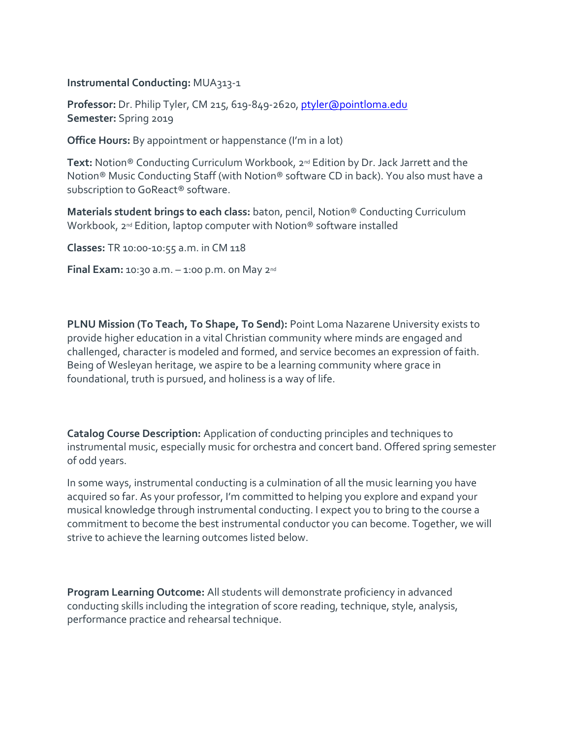### **Instrumental Conducting:** MUA313-1

**Professor:** Dr. Philip Tyler, CM 215, 619-849-2620, [ptyler@pointloma.edu](mailto:ptyler@pointloma.edu) **Semester:** Spring 2019

**Office Hours:** By appointment or happenstance (I'm in a lot)

**Text:** Notion® Conducting Curriculum Workbook, 2nd Edition by Dr. Jack Jarrett and the Notion® Music Conducting Staff (with Notion® software CD in back). You also must have a subscription to GoReact® software.

**Materials student brings to each class:** baton, pencil, Notion® Conducting Curriculum Workbook, 2<sup>nd</sup> Edition, laptop computer with Notion<sup>®</sup> software installed

**Classes:** TR 10:00-10:55 a.m. in CM 118

**Final Exam:** 10:30 a.m. – 1:00 p.m. on May 2nd

**PLNU Mission (To Teach, To Shape, To Send):** Point Loma Nazarene University exists to provide higher education in a vital Christian community where minds are engaged and challenged, character is modeled and formed, and service becomes an expression of faith. Being of Wesleyan heritage, we aspire to be a learning community where grace in foundational, truth is pursued, and holiness is a way of life.

**Catalog Course Description:** Application of conducting principles and techniques to instrumental music, especially music for orchestra and concert band. Offered spring semester of odd years.

In some ways, instrumental conducting is a culmination of all the music learning you have acquired so far. As your professor, I'm committed to helping you explore and expand your musical knowledge through instrumental conducting. I expect you to bring to the course a commitment to become the best instrumental conductor you can become. Together, we will strive to achieve the learning outcomes listed below.

**Program Learning Outcome:** All students will demonstrate proficiency in advanced conducting skills including the integration of score reading, technique, style, analysis, performance practice and rehearsal technique.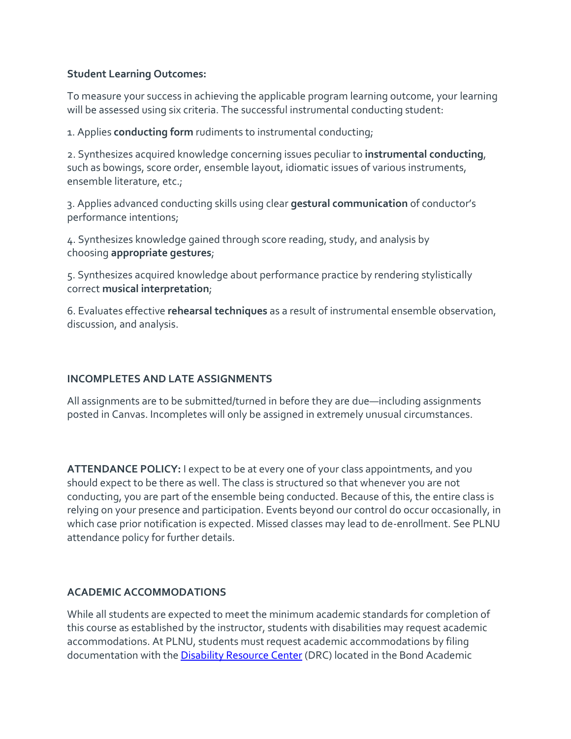## **Student Learning Outcomes:**

To measure your success in achieving the applicable program learning outcome, your learning will be assessed using six criteria. The successful instrumental conducting student:

1. Applies **conducting form** rudiments to instrumental conducting;

2. Synthesizes acquired knowledge concerning issues peculiar to **instrumental conducting**, such as bowings, score order, ensemble layout, idiomatic issues of various instruments, ensemble literature, etc.;

3. Applies advanced conducting skills using clear **gestural communication** of conductor's performance intentions;

4. Synthesizes knowledge gained through score reading, study, and analysis by choosing **appropriate gestures**;

5. Synthesizes acquired knowledge about performance practice by rendering stylistically correct **musical interpretation**;

6. Evaluates effective **rehearsal techniques** as a result of instrumental ensemble observation, discussion, and analysis.

# **INCOMPLETES AND LATE ASSIGNMENTS**

All assignments are to be submitted/turned in before they are due—including assignments posted in Canvas. Incompletes will only be assigned in extremely unusual circumstances.

**ATTENDANCE POLICY:** I expect to be at every one of your class appointments, and you should expect to be there as well. The class is structured so that whenever you are not conducting, you are part of the ensemble being conducted. Because of this, the entire class is relying on your presence and participation. Events beyond our control do occur occasionally, in which case prior notification is expected. Missed classes may lead to de-enrollment. See PLNU attendance policy for further details.

### **ACADEMIC ACCOMMODATIONS**

While all students are expected to meet the minimum academic standards for completion of this course as established by the instructor, students with disabilities may request academic accommodations. At PLNU, students must request academic accommodations by filing documentation with the [Disability Resource Center](http://www.pointloma.edu/experience/offices/administrative-offices/academic-advising-office/disability-resource-center) (DRC) located in the Bond Academic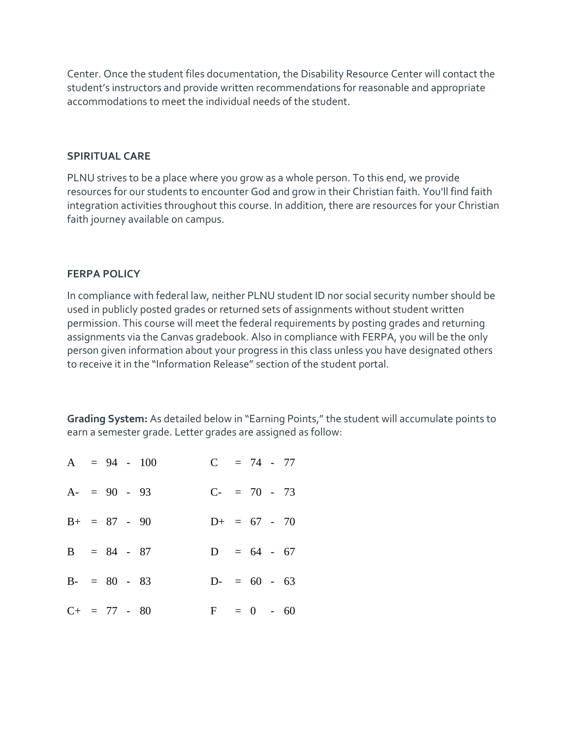Center. Once the student files documentation, the Disability Resource Center will contact the student's instructors and provide written recommendations for reasonable and appropriate accommodations to meet the individual needs of the student.

### **SPIRITUAL CARE**

PLNU strives to be a place where you grow as a whole person. To this end, we provide resources for our students to encounter God and grow in their Christian faith. You'll find faith integration activities throughout this course. In addition, there are resources for your Christian faith journey available on campus.

### **FERPA POLICY**

In compliance with federal law, neither PLNU student ID nor social security number should be used in publicly posted grades or returned sets of assignments without student written permission. This course will meet the federal requirements by posting grades and returning assignments via the Canvas gradebook. Also in compliance with FERPA, you will be the only person given information about your progress in this class unless you have designated others to receive it in the "Information Release" section of the student portal.

**Grading System:** As detailed below in "Earning Points," the student will accumulate points to earn a semester grade. Letter grades are assigned as follow:

|                   |  | $A = 94 - 100$ | $C = 74 - 77$  |  |  |  |
|-------------------|--|----------------|----------------|--|--|--|
| $A = 90 - 93$     |  |                | $C- = 70 - 73$ |  |  |  |
| $B+ = 87 - 90$    |  |                | $D+ = 67 - 70$ |  |  |  |
| $B = 84 - 87$     |  |                | $D = 64 - 67$  |  |  |  |
| $B - = 80 - 83$   |  |                | $D = 60 - 63$  |  |  |  |
| $C_{+}$ = 77 - 80 |  |                | $F = 0 - 60$   |  |  |  |